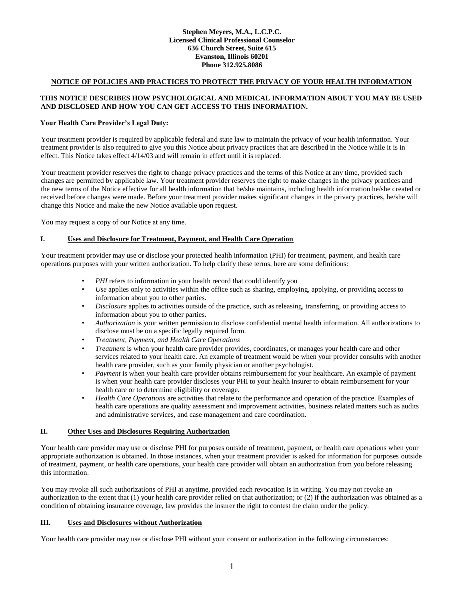#### **Stephen Meyers, M.A., L.C.P.C. Licensed Clinical Professional Counselor 636 Church Street, Suite 615 Evanston, Illinois 60201 Phone 312.925.8086**

## **NOTICE OF POLICIES AND PRACTICES TO PROTECT THE PRIVACY OF YOUR HEALTH INFORMATION**

#### **THIS NOTICE DESCRIBES HOW PSYCHOLOGICAL AND MEDICAL INFORMATION ABOUT YOU MAY BE USED AND DISCLOSED AND HOW YOU CAN GET ACCESS TO THIS INFORMATION.**

#### **Your Health Care Provider's Legal Duty:**

Your treatment provider is required by applicable federal and state law to maintain the privacy of your health information. Your treatment provider is also required to give you this Notice about privacy practices that are described in the Notice while it is in effect. This Notice takes effect 4/14/03 and will remain in effect until it is replaced.

Your treatment provider reserves the right to change privacy practices and the terms of this Notice at any time, provided such changes are permitted by applicable law. Your treatment provider reserves the right to make changes in the privacy practices and the new terms of the Notice effective for all health information that he/she maintains, including health information he/she created or received before changes were made. Before your treatment provider makes significant changes in the privacy practices, he/she will change this Notice and make the new Notice available upon request.

You may request a copy of our Notice at any time.

### **I. Uses and Disclosure for Treatment, Payment, and Health Care Operation**

Your treatment provider may use or disclose your protected health information (PHI) for treatment, payment, and health care operations purposes with your written authorization. To help clarify these terms, here are some definitions:

- PHI refers to information in your health record that could identify you
- *Use* applies only to activities within the office such as sharing, employing, applying, or providing access to information about you to other parties.
- *Disclosure* applies to activities outside of the practice, such as releasing, transferring, or providing access to information about you to other parties.
- *Authorization* is your written permission to disclose confidential mental health information. All authorizations to disclose must be on a specific legally required form.
- *Treatment, Payment, and Health Care Operations*
- *Treatment* is when your health care provider provides, coordinates, or manages your health care and other services related to your health care. An example of treatment would be when your provider consults with another health care provider, such as your family physician or another psychologist.
- *Payment* is when your health care provider obtains reimbursement for your healthcare. An example of payment is when your health care provider discloses your PHI to your health insurer to obtain reimbursement for your health care or to determine eligibility or coverage.
- *Health Care Operations* are activities that relate to the performance and operation of the practice. Examples of health care operations are quality assessment and improvement activities, business related matters such as audits and administrative services, and case management and care coordination.

#### **II. Other Uses and Disclosures Requiring Authorization**

Your health care provider may use or disclose PHI for purposes outside of treatment, payment, or health care operations when your appropriate authorization is obtained. In those instances, when your treatment provider is asked for information for purposes outside of treatment, payment, or health care operations, your health care provider will obtain an authorization from you before releasing this information.

You may revoke all such authorizations of PHI at anytime, provided each revocation is in writing. You may not revoke an authorization to the extent that (1) your health care provider relied on that authorization; or (2) if the authorization was obtained as a condition of obtaining insurance coverage, law provides the insurer the right to contest the claim under the policy.

#### **III. Uses and Disclosures without Authorization**

Your health care provider may use or disclose PHI without your consent or authorization in the following circumstances: